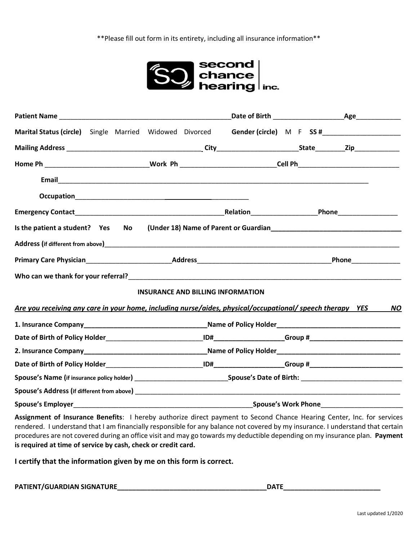\*\*Please fill out form in its entirety, including all insurance information\*\*



| Marital Status (circle) Single Married Widowed Divorced                                                                |  |                                                                                                                |                                          |  | Gender (circle) M F SS # |
|------------------------------------------------------------------------------------------------------------------------|--|----------------------------------------------------------------------------------------------------------------|------------------------------------------|--|--------------------------|
|                                                                                                                        |  |                                                                                                                |                                          |  |                          |
|                                                                                                                        |  | Home Ph __________________________________Work Ph ____________________________Cell Ph_________________________ |                                          |  |                          |
|                                                                                                                        |  |                                                                                                                |                                          |  |                          |
|                                                                                                                        |  |                                                                                                                |                                          |  |                          |
|                                                                                                                        |  |                                                                                                                |                                          |  |                          |
| Is the patient a student? Yes No                                                                                       |  |                                                                                                                |                                          |  |                          |
|                                                                                                                        |  |                                                                                                                |                                          |  |                          |
|                                                                                                                        |  |                                                                                                                |                                          |  |                          |
|                                                                                                                        |  |                                                                                                                |                                          |  |                          |
|                                                                                                                        |  |                                                                                                                | <b>INSURANCE AND BILLING INFORMATION</b> |  |                          |
| Are you receiving any care in your home, including nurse/aides, physical/occupational/ speech therapy YES              |  |                                                                                                                |                                          |  | <b>NO</b>                |
|                                                                                                                        |  |                                                                                                                |                                          |  |                          |
|                                                                                                                        |  |                                                                                                                |                                          |  |                          |
|                                                                                                                        |  |                                                                                                                |                                          |  |                          |
|                                                                                                                        |  |                                                                                                                |                                          |  |                          |
|                                                                                                                        |  |                                                                                                                |                                          |  |                          |
|                                                                                                                        |  |                                                                                                                |                                          |  |                          |
|                                                                                                                        |  |                                                                                                                |                                          |  |                          |
| Assignment of Insurance Benefits: I hereby authorize direct payment to Second Chance Hearing Center, Inc. for services |  |                                                                                                                |                                          |  |                          |

rendered. I understand that I am financially responsible for any balance not covered by my insurance. I understand that certain procedures are not covered during an office visit and may go towards my deductible depending on my insurance plan. **Payment is required at time of service by cash, check or credit card.** 

**I certify that the information given by me on this form is correct.** 

**PATIENT/GUARDIAN SIGNATURE\_\_\_\_\_\_\_\_\_\_\_\_\_\_\_\_\_\_\_\_\_\_\_\_\_\_\_\_\_\_\_\_\_\_\_\_\_\_\_\_DATE\_\_\_\_\_\_\_\_\_\_\_\_\_\_\_\_\_\_\_\_\_\_\_\_\_\_**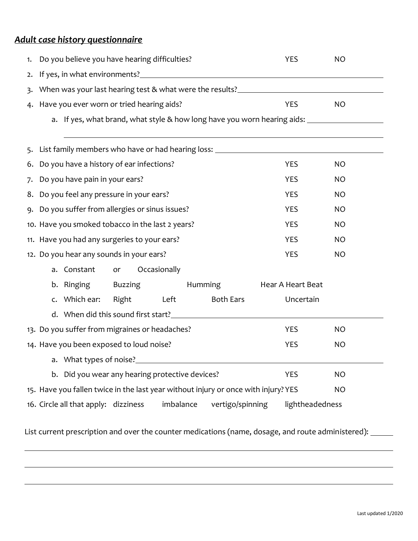## *Adult case history questionnaire*

| 1. | Do you believe you have hearing difficulties?                                                       | <b>YES</b>        | <b>NO</b> |  |  |  |
|----|-----------------------------------------------------------------------------------------------------|-------------------|-----------|--|--|--|
| 2. |                                                                                                     |                   |           |  |  |  |
| 3. | When was your last hearing test & what were the results?<br>University and the results?             |                   |           |  |  |  |
|    | 4. Have you ever worn or tried hearing aids?                                                        | <b>YES</b>        | <b>NO</b> |  |  |  |
|    | a. If yes, what brand, what style & how long have you worn hearing aids: __________________________ |                   |           |  |  |  |
|    |                                                                                                     |                   |           |  |  |  |
|    | 5. List family members who have or had hearing loss: ____________________________                   |                   |           |  |  |  |
|    | 6. Do you have a history of ear infections?                                                         | <b>YES</b>        | <b>NO</b> |  |  |  |
| 7. | Do you have pain in your ears?                                                                      | <b>YES</b>        | <b>NO</b> |  |  |  |
|    | 8. Do you feel any pressure in your ears?                                                           | <b>YES</b>        | <b>NO</b> |  |  |  |
|    | 9. Do you suffer from allergies or sinus issues?                                                    | <b>YES</b>        | <b>NO</b> |  |  |  |
|    | 10. Have you smoked tobacco in the last 2 years?<br><b>YES</b><br><b>NO</b>                         |                   |           |  |  |  |
|    | 11. Have you had any surgeries to your ears?                                                        | <b>YES</b>        | <b>NO</b> |  |  |  |
|    | 12. Do you hear any sounds in your ears?                                                            | <b>YES</b>        | <b>NO</b> |  |  |  |
|    | Occasionally<br>a. Constant<br>or                                                                   |                   |           |  |  |  |
|    | Buzzing<br>Humming<br>b. Ringing                                                                    | Hear A Heart Beat |           |  |  |  |
|    | Left<br><b>Both Ears</b><br>c. Which ear:<br>Right                                                  | Uncertain         |           |  |  |  |
|    |                                                                                                     |                   |           |  |  |  |
|    | 13. Do you suffer from migraines or headaches?                                                      | <b>YES</b>        | <b>NO</b> |  |  |  |
|    | 14. Have you been exposed to loud noise?                                                            | <b>YES</b>        | <b>NO</b> |  |  |  |
|    |                                                                                                     |                   |           |  |  |  |
|    | b. Did you wear any hearing protective devices?                                                     | <b>YES</b>        | <b>NO</b> |  |  |  |
|    | 15. Have you fallen twice in the last year without injury or once with injury? YES<br><b>NO</b>     |                   |           |  |  |  |
|    | 16. Circle all that apply: dizziness<br>imbalance<br>vertigo/spinning                               | lightheadedness   |           |  |  |  |

List current prescription and over the counter medications (name, dosage, and route administered): \_\_\_\_\_